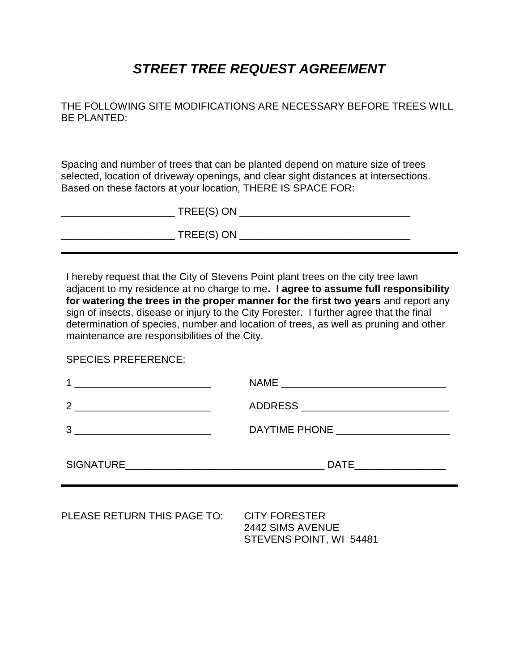## *STREET TREE REQUEST AGREEMENT*

THE FOLLOWING SITE MODIFICATIONS ARE NECESSARY BEFORE TREES WILL BE PLANTED:

Spacing and number of trees that can be planted depend on mature size of trees selected, location of driveway openings, and clear sight distances at intersections. Based on these factors at your location, THERE IS SPACE FOR:

| TREE(S) ON |  |
|------------|--|
| TREE(S) ON |  |

I hereby request that the City of Stevens Point plant trees on the city tree lawn adjacent to my residence at no charge to me**. I agree to assume full responsibility for watering the trees in the proper manner for the first two years** and report any sign of insects, disease or injury to the City Forester. I further agree that the final determination of species, number and location of trees, as well as pruning and other maintenance are responsibilities of the City.

SPECIES PREFERENCE:

|                             | DATE___________________                                             |  |
|-----------------------------|---------------------------------------------------------------------|--|
| PLEASE RETURN THIS PAGE TO: | <b>CITY FORESTER</b><br>2442 SIMS AVENUE<br>STEVENS POINT, WI 54481 |  |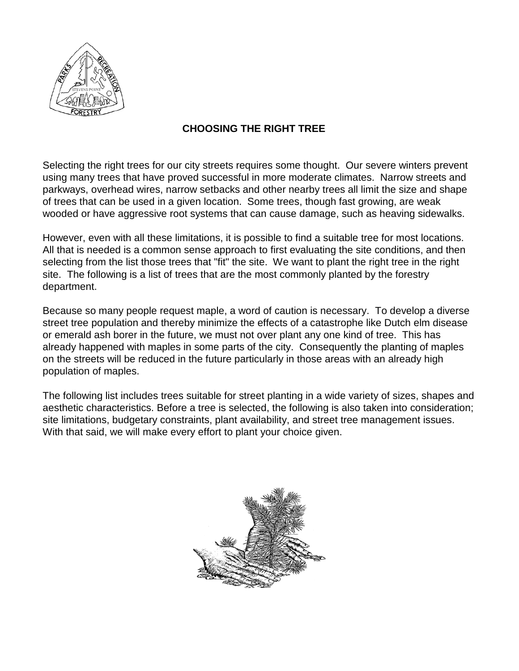

## **CHOOSING THE RIGHT TREE**

Selecting the right trees for our city streets requires some thought. Our severe winters prevent using many trees that have proved successful in more moderate climates. Narrow streets and parkways, overhead wires, narrow setbacks and other nearby trees all limit the size and shape of trees that can be used in a given location. Some trees, though fast growing, are weak wooded or have aggressive root systems that can cause damage, such as heaving sidewalks.

However, even with all these limitations, it is possible to find a suitable tree for most locations. All that is needed is a common sense approach to first evaluating the site conditions, and then selecting from the list those trees that "fit" the site. We want to plant the right tree in the right site. The following is a list of trees that are the most commonly planted by the forestry department.

Because so many people request maple, a word of caution is necessary. To develop a diverse street tree population and thereby minimize the effects of a catastrophe like Dutch elm disease or emerald ash borer in the future, we must not over plant any one kind of tree. This has already happened with maples in some parts of the city. Consequently the planting of maples on the streets will be reduced in the future particularly in those areas with an already high population of maples.

The following list includes trees suitable for street planting in a wide variety of sizes, shapes and aesthetic characteristics. Before a tree is selected, the following is also taken into consideration; site limitations, budgetary constraints, plant availability, and street tree management issues. With that said, we will make every effort to plant your choice given.

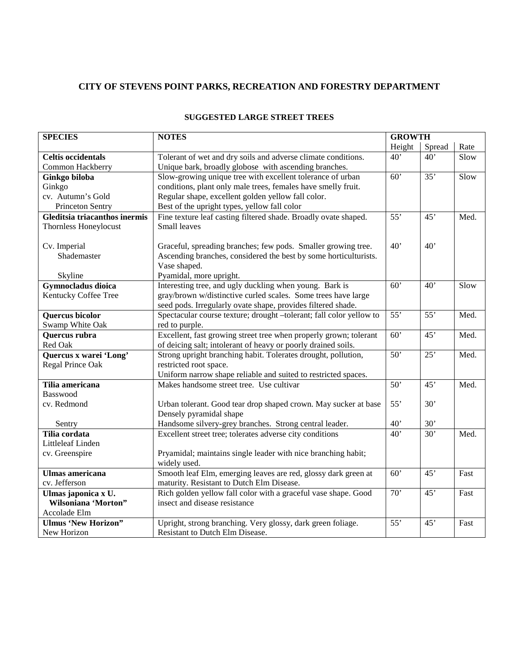## **CITY OF STEVENS POINT PARKS, RECREATION AND FORESTRY DEPARTMENT**

| <b>SPECIES</b>                | <b>NOTES</b>                                                        | <b>GROWTH</b>   |                 |      |
|-------------------------------|---------------------------------------------------------------------|-----------------|-----------------|------|
|                               |                                                                     | Height          | Spread          | Rate |
| <b>Celtis occidentals</b>     | Tolerant of wet and dry soils and adverse climate conditions.       | 40'             | 40'             | Slow |
| Common Hackberry              | Unique bark, broadly globose with ascending branches.               |                 |                 |      |
| Ginkgo biloba                 | Slow-growing unique tree with excellent tolerance of urban          | 60'             | 35'             | Slow |
| Ginkgo                        | conditions, plant only male trees, females have smelly fruit.       |                 |                 |      |
| cv. Autumn's Gold             | Regular shape, excellent golden yellow fall color.                  |                 |                 |      |
| Princeton Sentry              | Best of the upright types, yellow fall color                        |                 |                 |      |
| Gleditsia triacanthos inermis | Fine texture leaf casting filtered shade. Broadly ovate shaped.     | 55'             | 45'             | Med. |
| Thornless Honeylocust         | Small leaves                                                        |                 |                 |      |
|                               |                                                                     |                 |                 |      |
| Cv. Imperial                  | Graceful, spreading branches; few pods. Smaller growing tree.       | 40'             | 40'             |      |
| Shademaster                   | Ascending branches, considered the best by some horticulturists.    |                 |                 |      |
|                               | Vase shaped.                                                        |                 |                 |      |
| Skyline                       | Pyamidal, more upright.                                             |                 |                 |      |
| <b>Gymnocladus</b> dioica     | Interesting tree, and ugly duckling when young. Bark is             | 60'             | 40'             | Slow |
| Kentucky Coffee Tree          | gray/brown w/distinctive curled scales. Some trees have large       |                 |                 |      |
|                               | seed pods. Irregularly ovate shape, provides filtered shade.        |                 |                 |      |
| Quercus bicolor               | Spectacular course texture; drought -tolerant; fall color yellow to | 55'             | 55'             | Med. |
| Swamp White Oak               | red to purple.                                                      |                 |                 |      |
| Quercus rubra                 | Excellent, fast growing street tree when properly grown; tolerant   | $\overline{60}$ | 45'             | Med. |
| Red Oak                       | of deicing salt; intolerant of heavy or poorly drained soils.       |                 |                 |      |
| Quercus x warei 'Long'        | Strong upright branching habit. Tolerates drought, pollution,       | $\overline{50}$ | 25'             | Med. |
| Regal Prince Oak              | restricted root space.                                              |                 |                 |      |
|                               | Uniform narrow shape reliable and suited to restricted spaces.      |                 |                 |      |
| Tilia americana               | Makes handsome street tree. Use cultivar                            | 50'             | $\overline{45}$ | Med. |
| Basswood                      |                                                                     |                 |                 |      |
| cv. Redmond                   | Urban tolerant. Good tear drop shaped crown. May sucker at base     | 55'             | 30'             |      |
|                               | Densely pyramidal shape                                             |                 |                 |      |
| Sentry                        | Handsome silvery-grey branches. Strong central leader.              | 40'             | 30'             |      |
| Tilia cordata                 | Excellent street tree; tolerates adverse city conditions            | 40'             | 30'             | Med. |
| Littleleaf Linden             |                                                                     |                 |                 |      |
| cv. Greenspire                | Pryamidal; maintains single leader with nice branching habit;       |                 |                 |      |
|                               | widely used.                                                        |                 |                 |      |
| <b>Ulmas americana</b>        | Smooth leaf Elm, emerging leaves are red, glossy dark green at      | 60'             | 45'             | Fast |
| cv. Jefferson                 | maturity. Resistant to Dutch Elm Disease.                           |                 |                 |      |
| Ulmas japonica x U.           | Rich golden yellow fall color with a graceful vase shape. Good      | 70'             | 45'             | Fast |
| Wilsoniana 'Morton"           | insect and disease resistance                                       |                 |                 |      |
| Accolade Elm                  |                                                                     |                 |                 |      |
| <b>Ulmus 'New Horizon''</b>   | Upright, strong branching. Very glossy, dark green foliage.         | 55'             | 45'             | Fast |
| New Horizon                   | Resistant to Dutch Elm Disease.                                     |                 |                 |      |

### **SUGGESTED LARGE STREET TREES**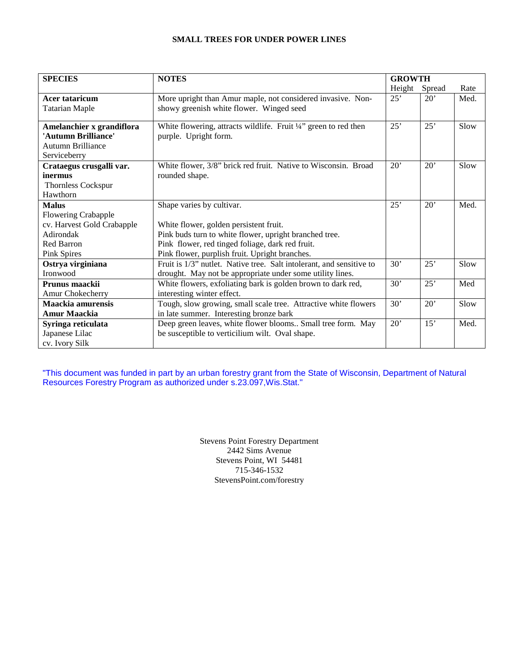#### **SMALL TREES FOR UNDER POWER LINES**

| <b>SPECIES</b>             | <b>NOTES</b>                                                         | <b>GROWTH</b> |        |      |
|----------------------------|----------------------------------------------------------------------|---------------|--------|------|
|                            |                                                                      | Height        | Spread | Rate |
| <b>Acer tataricum</b>      | More upright than Amur maple, not considered invasive. Non-          | 25'           | 20'    | Med. |
| <b>Tatarian Maple</b>      | showy greenish white flower. Winged seed                             |               |        |      |
| Amelanchier x grandiflora  | White flowering, attracts wildlife. Fruit 1/4" green to red then     | 25'           | 25'    | Slow |
| 'Autumn Brilliance'        | purple. Upright form.                                                |               |        |      |
| <b>Autumn Brilliance</b>   |                                                                      |               |        |      |
| Serviceberry               |                                                                      |               |        |      |
| Crataegus crusgalli var.   | White flower, 3/8" brick red fruit. Native to Wisconsin. Broad       | 20'           | 20'    | Slow |
| inermus                    | rounded shape.                                                       |               |        |      |
| <b>Thornless Cockspur</b>  |                                                                      |               |        |      |
| Hawthorn                   |                                                                      |               |        |      |
| <b>Malus</b>               | Shape varies by cultivar.                                            | 25'           | 20'    | Med. |
| <b>Flowering Crabapple</b> |                                                                      |               |        |      |
| cv. Harvest Gold Crabapple | White flower, golden persistent fruit.                               |               |        |      |
| Adirondak                  | Pink buds turn to white flower, upright branched tree.               |               |        |      |
| <b>Red Barron</b>          | Pink flower, red tinged foliage, dark red fruit.                     |               |        |      |
| Pink Spires                | Pink flower, purplish fruit. Upright branches.                       |               |        |      |
| Ostrya virginiana          | Fruit is 1/3" nutlet. Native tree. Salt intolerant, and sensitive to | 30'           | 25'    | Slow |
| Ironwood                   | drought. May not be appropriate under some utility lines.            |               |        |      |
| Prunus maackii             | White flowers, exfoliating bark is golden brown to dark red,         | 30'           | 25'    | Med  |
| Amur Chokecherry           | interesting winter effect.                                           |               |        |      |
| Maackia amurensis          | Tough, slow growing, small scale tree. Attractive white flowers      | 30'           | 20'    | Slow |
| <b>Amur Maackia</b>        | in late summer. Interesting bronze bark                              |               |        |      |
| Syringa reticulata         | Deep green leaves, white flower blooms Small tree form. May          | 20'           | 15'    | Med. |
| Japanese Lilac             | be susceptible to verticilium wilt. Oval shape.                      |               |        |      |
| cv. Ivory Silk             |                                                                      |               |        |      |

"This document was funded in part by an urban forestry grant from the State of Wisconsin, Department of Natural Resources Forestry Program as authorized under s.23.097,Wis.Stat."

> Stevens Point Forestry Department 2442 Sims Avenue Stevens Point, WI 54481 715-346-1532 StevensPoint.com/forestry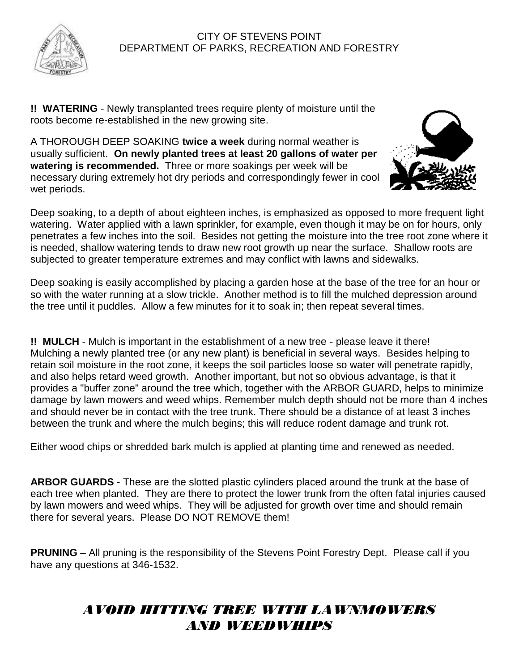

**!! WATERING** - Newly transplanted trees require plenty of moisture until the roots become re-established in the new growing site.

A THOROUGH DEEP SOAKING **twice a week** during normal weather is usually sufficient. **On newly planted trees at least 20 gallons of water per watering is recommended.** Three or more soakings per week will be necessary during extremely hot dry periods and correspondingly fewer in cool wet periods.



Deep soaking, to a depth of about eighteen inches, is emphasized as opposed to more frequent light watering. Water applied with a lawn sprinkler, for example, even though it may be on for hours, only penetrates a few inches into the soil. Besides not getting the moisture into the tree root zone where it is needed, shallow watering tends to draw new root growth up near the surface. Shallow roots are subjected to greater temperature extremes and may conflict with lawns and sidewalks.

Deep soaking is easily accomplished by placing a garden hose at the base of the tree for an hour or so with the water running at a slow trickle. Another method is to fill the mulched depression around the tree until it puddles. Allow a few minutes for it to soak in; then repeat several times.

**!! MULCH** - Mulch is important in the establishment of a new tree - please leave it there! Mulching a newly planted tree (or any new plant) is beneficial in several ways. Besides helping to retain soil moisture in the root zone, it keeps the soil particles loose so water will penetrate rapidly, and also helps retard weed growth. Another important, but not so obvious advantage, is that it provides a "buffer zone" around the tree which, together with the ARBOR GUARD, helps to minimize damage by lawn mowers and weed whips. Remember mulch depth should not be more than 4 inches and should never be in contact with the tree trunk. There should be a distance of at least 3 inches between the trunk and where the mulch begins; this will reduce rodent damage and trunk rot.

Either wood chips or shredded bark mulch is applied at planting time and renewed as needed.

**ARBOR GUARDS** - These are the slotted plastic cylinders placed around the trunk at the base of each tree when planted. They are there to protect the lower trunk from the often fatal injuries caused by lawn mowers and weed whips. They will be adjusted for growth over time and should remain there for several years. Please DO NOT REMOVE them!

**PRUNING** – All pruning is the responsibility of the Stevens Point Forestry Dept. Please call if you have any questions at 346-1532.

# *AVOID HITTING TREE WITH LAWNMOWERS AND WEEDWHIPS*